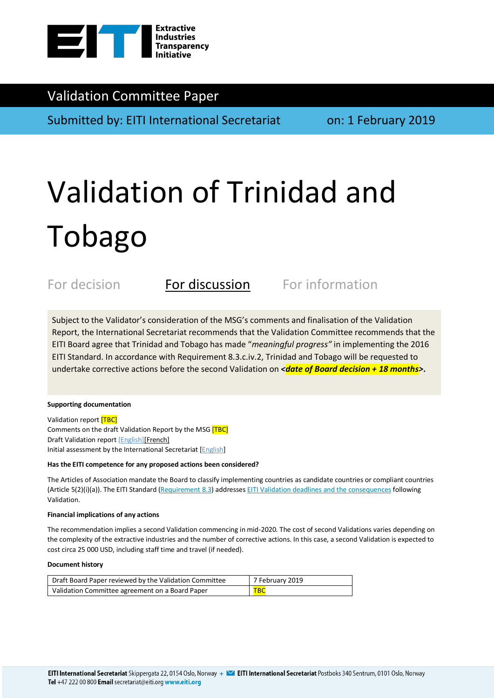

# Validation Committee Paper

Submitted by: EITI International Secretariat on: 1 February 2019

# Validation of Trinidad and Tobago

For decision **For discussion** For information

Subject to the Validator's consideration of the MSG's comments and finalisation of the Validation Report, the International Secretariat recommends that the Validation Committee recommends that the EITI Board agree that Trinidad and Tobago has made "*meaningful progress"* in implementing the 2016 EITI Standard. In accordance with Requirement 8.3.c.iv.2, Trinidad and Tobago will be requested to undertake corrective actions before the second Validation on *<date of Board decision + 18 months>*.

### **Supporting documentation**

Validation report [TBC] Comments on the draft Validation Report by the MSG [TBC] Draft Validation report [English][French] Initial assessment by the International Secretariat [English]

### **Has the EITI competence for any proposed actions been considered?**

The Articles of Association mandate the Board to classify implementing countries as candidate countries or compliant countries (Article 5(2)(i)(a)). The EITI Standard (Requirement 8.3) addresses EITI Validation deadlines and the consequences following Validation.

### **Financial implications of any actions**

The recommendation implies a second Validation commencing in mid-2020. The cost of second Validations varies depending on the complexity of the extractive industries and the number of corrective actions. In this case, a second Validation is expected to cost circa 25 000 USD, including staff time and travel (if needed).

### **Document history**

| Draft Board Paper reviewed by the Validation Committee | 7 February 2019 |
|--------------------------------------------------------|-----------------|
| Validation Committee agreement on a Board Paper        | <b>TBC</b>      |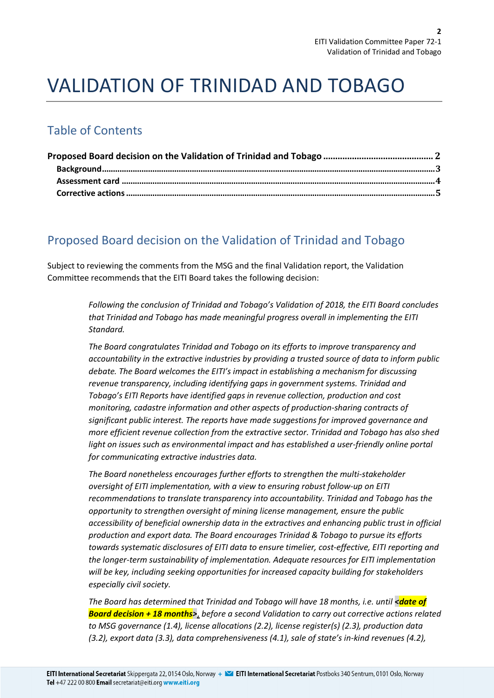# VALIDATION OF TRINIDAD AND TOBAGO

# Table of Contents

# Proposed Board decision on the Validation of Trinidad and Tobago

Subject to reviewing the comments from the MSG and the final Validation report, the Validation Committee recommends that the EITI Board takes the following decision:

> *Following the conclusion of Trinidad and Tobago's Validation of 2018, the EITI Board concludes that Trinidad and Tobago has made meaningful progress overall in implementing the EITI Standard.*

> *The Board congratulates Trinidad and Tobago on its efforts to improve transparency and accountability in the extractive industries by providing a trusted source of data to inform public debate. The Board welcomes the EITI's impact in establishing a mechanism for discussing revenue transparency, including identifying gaps in government systems. Trinidad and Tobago's EITI Reports have identified gaps in revenue collection, production and cost monitoring, cadastre information and other aspects of production-sharing contracts of significant public interest. The reports have made suggestions for improved governance and more efficient revenue collection from the extractive sector. Trinidad and Tobago has also shed light on issues such as environmental impact and has established a user-friendly online portal for communicating extractive industries data.*

> *The Board nonetheless encourages further efforts to strengthen the multi-stakeholder oversight of EITI implementation, with a view to ensuring robust follow-up on EITI recommendations to translate transparency into accountability. Trinidad and Tobago has the opportunity to strengthen oversight of mining license management, ensure the public accessibility of beneficial ownership data in the extractives and enhancing public trust in official production and export data. The Board encourages Trinidad & Tobago to pursue its efforts towards systematic disclosures of EITI data to ensure timelier, cost-effective, EITI reporting and the longer-term sustainability of implementation. Adequate resources for EITI implementation will be key, including seeking opportunities for increased capacity building for stakeholders especially civil society.*

> *The Board has determined that Trinidad and Tobago will have 18 months, i.e. until <date of Board decision + 18 months>*, *before a second Validation to carry out corrective actions related to MSG governance (1.4), license allocations (2.2), license register(s) (2.3), production data (3.2), export data (3.3), data comprehensiveness (4.1), sale of state's in-kind revenues (4.2),*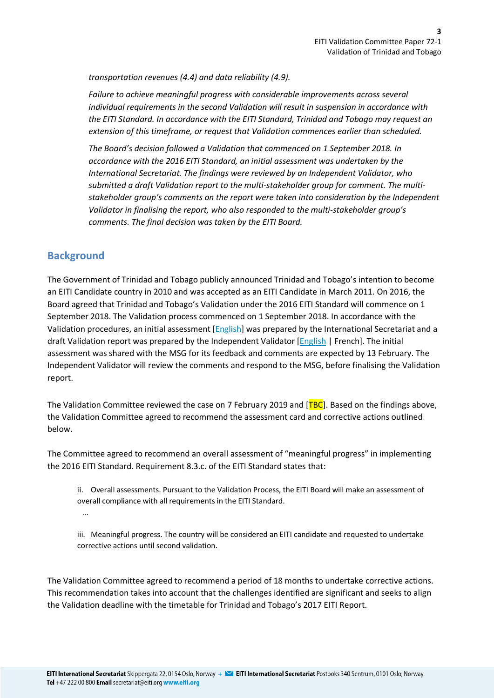*transportation revenues (4.4) and data reliability (4.9).* 

*Failure to achieve meaningful progress with considerable improvements across several individual requirements in the second Validation will result in suspension in accordance with the EITI Standard. In accordance with the EITI Standard, Trinidad and Tobago may request an extension of this timeframe, or request that Validation commences earlier than scheduled.*

*The Board's decision followed a Validation that commenced on 1 September 2018. In accordance with the 2016 EITI Standard, an initial assessment was undertaken by the International Secretariat. The findings were reviewed by an Independent Validator, who submitted a draft Validation report to the multi-stakeholder group for comment. The multistakeholder group's comments on the report were taken into consideration by the Independent Validator in finalising the report, who also responded to the multi-stakeholder group's comments. The final decision was taken by the EITI Board.*

## **Background**

The Government of Trinidad and Tobago publicly announced Trinidad and Tobago's intention to become an EITI Candidate country in 2010 and was accepted as an EITI Candidate in March 2011. On 2016, the Board agreed that Trinidad and Tobago's Validation under the 2016 EITI Standard will commence on 1 September 2018. The Validation process commenced on 1 September 2018. In accordance with the Validation procedures, an initial assessment [English] was prepared by the International Secretariat and a draft Validation report was prepared by the Independent Validator [English | French]. The initial assessment was shared with the MSG for its feedback and comments are expected by 13 February. The Independent Validator will review the comments and respond to the MSG, before finalising the Validation report.

The Validation Committee reviewed the case on 7 February 2019 and  $[TBC]$ . Based on the findings above, the Validation Committee agreed to recommend the assessment card and corrective actions outlined below.

The Committee agreed to recommend an overall assessment of "meaningful progress" in implementing the 2016 EITI Standard. Requirement 8.3.c. of the EITI Standard states that:

ii. Overall assessments. Pursuant to the Validation Process, the EITI Board will make an assessment of overall compliance with all requirements in the EITI Standard. …

iii. Meaningful progress. The country will be considered an EITI candidate and requested to undertake corrective actions until second validation.

The Validation Committee agreed to recommend a period of 18 months to undertake corrective actions. This recommendation takes into account that the challenges identified are significant and seeks to align the Validation deadline with the timetable for Trinidad and Tobago's 2017 EITI Report.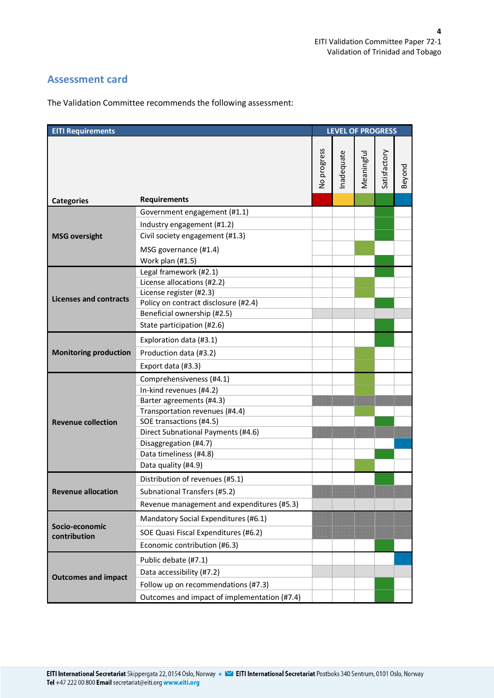## **Assessment card**

The Validation Committee recommends the following assessment:

| <b>EITI Requirements</b>       |                                                                                                                                                                                                                                                              |             | <b>LEVEL OF PROGRESS</b> |            |              |        |
|--------------------------------|--------------------------------------------------------------------------------------------------------------------------------------------------------------------------------------------------------------------------------------------------------------|-------------|--------------------------|------------|--------------|--------|
|                                |                                                                                                                                                                                                                                                              | No progress | Inadequate               | Meaningful | Satisfactory | Beyond |
| <b>Categories</b>              | <b>Requirements</b>                                                                                                                                                                                                                                          |             |                          |            |              |        |
| <b>MSG oversight</b>           | Government engagement (#1.1)<br>Industry engagement (#1.2)<br>Civil society engagement (#1.3)<br>MSG governance (#1.4)<br>Work plan (#1.5)                                                                                                                   |             |                          |            |              |        |
| <b>Licenses and contracts</b>  | Legal framework (#2.1)<br>License allocations (#2.2)<br>License register (#2.3)<br>Policy on contract disclosure (#2.4)<br>Beneficial ownership (#2.5)<br>State participation (#2.6)                                                                         |             |                          |            |              |        |
| <b>Monitoring production</b>   | Exploration data (#3.1)<br>Production data (#3.2)<br>Export data (#3.3)                                                                                                                                                                                      |             |                          |            |              |        |
| <b>Revenue collection</b>      | Comprehensiveness (#4.1)<br>In-kind revenues (#4.2)<br>Barter agreements (#4.3)<br>Transportation revenues (#4.4)<br>SOE transactions (#4.5)<br>Direct Subnational Payments (#4.6)<br>Disaggregation (#4.7)<br>Data timeliness (#4.8)<br>Data quality (#4.9) |             |                          |            |              |        |
| <b>Revenue allocation</b>      | Distribution of revenues (#5.1)<br>Subnational Transfers (#5.2)<br>Revenue management and expenditures (#5.3)                                                                                                                                                |             |                          |            |              |        |
| Socio-economic<br>contribution | Mandatory Social Expenditures (#6.1)<br>SOE Quasi Fiscal Expenditures (#6.2)<br>Economic contribution (#6.3)                                                                                                                                                 |             |                          |            |              |        |
| <b>Outcomes and impact</b>     | Public debate (#7.1)<br>Data accessibility (#7.2)<br>Follow up on recommendations (#7.3)<br>Outcomes and impact of implementation (#7.4)                                                                                                                     |             |                          |            |              |        |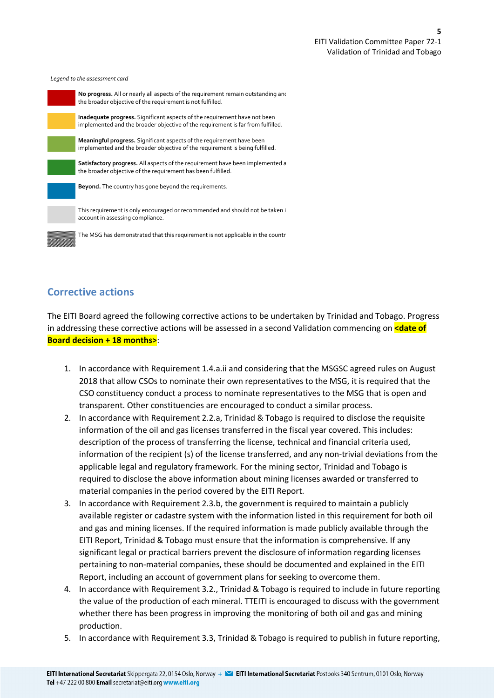*Legend to the assessment card*



# **Corrective actions**

The EITI Board agreed the following corrective actions to be undertaken by Trinidad and Tobago. Progress in addressing these corrective actions will be assessed in a second Validation commencing on **<date of Board decision + 18 months>**:

- 1. In accordance with Requirement 1.4.a.ii and considering that the MSGSC agreed rules on August 2018 that allow CSOs to nominate their own representatives to the MSG, it is required that the CSO constituency conduct a process to nominate representatives to the MSG that is open and transparent. Other constituencies are encouraged to conduct a similar process.
- 2. In accordance with Requirement 2.2.a, Trinidad & Tobago is required to disclose the requisite information of the oil and gas licenses transferred in the fiscal year covered. This includes: description of the process of transferring the license, technical and financial criteria used, information of the recipient (s) of the license transferred, and any non-trivial deviations from the applicable legal and regulatory framework. For the mining sector, Trinidad and Tobago is required to disclose the above information about mining licenses awarded or transferred to material companies in the period covered by the EITI Report.
- 3. In accordance with Requirement 2.3.b, the government is required to maintain a publicly available register or cadastre system with the information listed in this requirement for both oil and gas and mining licenses. If the required information is made publicly available through the EITI Report, Trinidad & Tobago must ensure that the information is comprehensive. If any significant legal or practical barriers prevent the disclosure of information regarding licenses pertaining to non-material companies, these should be documented and explained in the EITI Report, including an account of government plans for seeking to overcome them.
- 4. In accordance with Requirement 3.2., Trinidad & Tobago is required to include in future reporting the value of the production of each mineral. TTEITI is encouraged to discuss with the government whether there has been progress in improving the monitoring of both oil and gas and mining production.
- 5. In accordance with Requirement 3.3, Trinidad & Tobago is required to publish in future reporting,